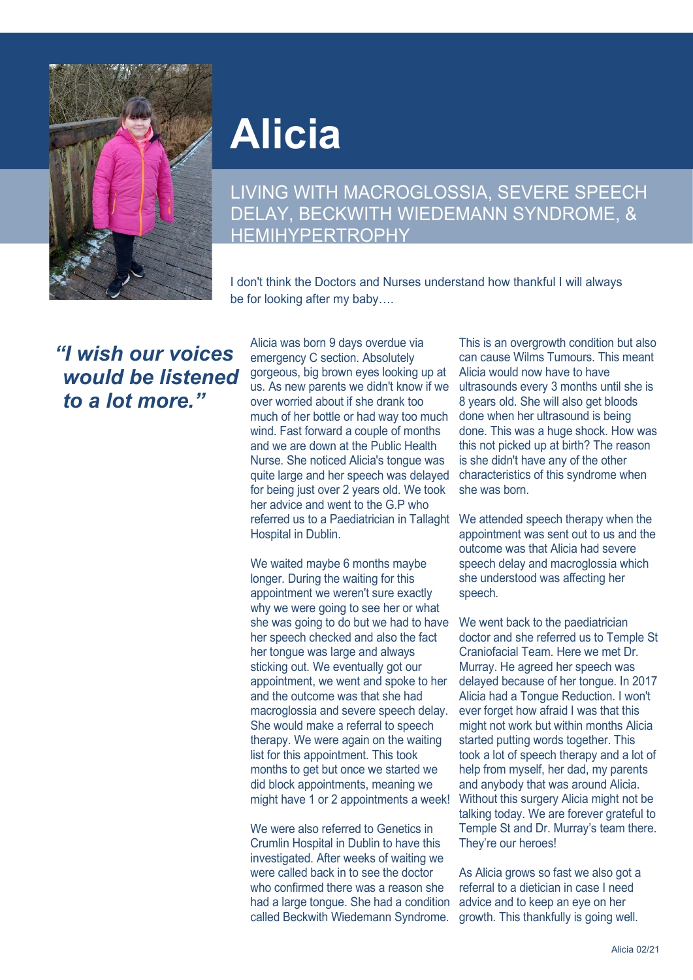

## **Alicia**

LIVING WITH MACROGLOSSIA, SEVERE SPEECH DELAY, BECKWITH WIEDEMANN SYNDROME, & **HEMIHYPERTROPHY** 

I don't think the Doctors and Nurses understand how thankful I will always be for looking after my baby….

*"I wish our voices would be listened to a lot more."*

Alicia was born 9 days overdue via emergency C section. Absolutely gorgeous, big brown eyes looking up at us. As new parents we didn't know if we over worried about if she drank too much of her bottle or had way too much wind. Fast forward a couple of months and we are down at the Public Health Nurse. She noticed Alicia's tongue was quite large and her speech was delayed for being just over 2 years old. We took her advice and went to the G.P who referred us to a Paediatrician in Tallaght Hospital in Dublin.

We waited maybe 6 months maybe longer. During the waiting for this appointment we weren't sure exactly why we were going to see her or what she was going to do but we had to have her speech checked and also the fact her tongue was large and always sticking out. We eventually got our appointment, we went and spoke to her and the outcome was that she had macroglossia and severe speech delay. She would make a referral to speech therapy. We were again on the waiting list for this appointment. This took months to get but once we started we did block appointments, meaning we might have 1 or 2 appointments a week!

We were also referred to Genetics in Crumlin Hospital in Dublin to have this investigated. After weeks of waiting we were called back in to see the doctor who confirmed there was a reason she had a large tongue. She had a condition called Beckwith Wiedemann Syndrome.

This is an overgrowth condition but also can cause Wilms Tumours. This meant Alicia would now have to have ultrasounds every 3 months until she is 8 years old. She will also get bloods done when her ultrasound is being done. This was a huge shock. How was this not picked up at birth? The reason is she didn't have any of the other characteristics of this syndrome when she was born.

We attended speech therapy when the appointment was sent out to us and the outcome was that Alicia had severe speech delay and macroglossia which she understood was affecting her speech.

We went back to the paediatrician doctor and she referred us to Temple St Craniofacial Team. Here we met Dr. Murray. He agreed her speech was delayed because of her tongue. In 2017 Alicia had a Tongue Reduction. I won't ever forget how afraid I was that this might not work but within months Alicia started putting words together. This took a lot of speech therapy and a lot of help from myself, her dad, my parents and anybody that was around Alicia. Without this surgery Alicia might not be talking today. We are forever grateful to Temple St and Dr. Murray's team there. They're our heroes!

As Alicia grows so fast we also got a referral to a dietician in case I need advice and to keep an eye on her growth. This thankfully is going well.